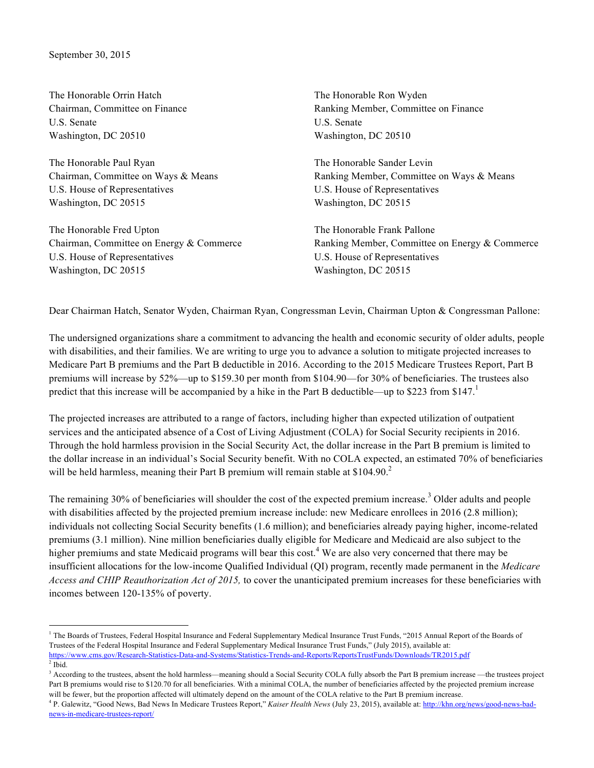The Honorable Orrin Hatch Chairman, Committee on Finance U.S. Senate Washington, DC 20510

The Honorable Paul Ryan Chairman, Committee on Ways & Means U.S. House of Representatives Washington, DC 20515

The Honorable Fred Upton Chairman, Committee on Energy & Commerce U.S. House of Representatives Washington, DC 20515

The Honorable Ron Wyden Ranking Member, Committee on Finance U.S. Senate Washington, DC 20510

The Honorable Sander Levin Ranking Member, Committee on Ways & Means U.S. House of Representatives Washington, DC 20515

The Honorable Frank Pallone Ranking Member, Committee on Energy & Commerce U.S. House of Representatives Washington, DC 20515

Dear Chairman Hatch, Senator Wyden, Chairman Ryan, Congressman Levin, Chairman Upton & Congressman Pallone:

The undersigned organizations share a commitment to advancing the health and economic security of older adults, people with disabilities, and their families. We are writing to urge you to advance a solution to mitigate projected increases to Medicare Part B premiums and the Part B deductible in 2016. According to the 2015 Medicare Trustees Report, Part B premiums will increase by 52%—up to \$159.30 per month from \$104.90—for 30% of beneficiaries. The trustees also predict that this increase will be accompanied by a hike in the Part B deductible—up to \$223 from \$147.<sup>1</sup>

The projected increases are attributed to a range of factors, including higher than expected utilization of outpatient services and the anticipated absence of a Cost of Living Adjustment (COLA) for Social Security recipients in 2016. Through the hold harmless provision in the Social Security Act, the dollar increase in the Part B premium is limited to the dollar increase in an individual's Social Security benefit. With no COLA expected, an estimated 70% of beneficiaries will be held harmless, meaning their Part B premium will remain stable at  $$104.90<sup>2</sup>$ 

The remaining 30% of beneficiaries will shoulder the cost of the expected premium increase.<sup>3</sup> Older adults and people with disabilities affected by the projected premium increase include: new Medicare enrollees in 2016 (2.8 million); individuals not collecting Social Security benefits (1.6 million); and beneficiaries already paying higher, income-related premiums (3.1 million). Nine million beneficiaries dually eligible for Medicare and Medicaid are also subject to the higher premiums and state Medicaid programs will bear this cost.<sup>4</sup> We are also very concerned that there may be insufficient allocations for the low-income Qualified Individual (QI) program, recently made permanent in the *Medicare Access and CHIP Reauthorization Act of 2015,* to cover the unanticipated premium increases for these beneficiaries with incomes between 120-135% of poverty.

<sup>&</sup>lt;sup>1</sup> The Boards of Trustees, Federal Hospital Insurance and Federal Supplementary Medical Insurance Trust Funds, "2015 Annual Report of the Boards of Trustees of the Federal Hospital Insurance and Federal Supplementary Medical Insurance Trust Funds," (July 2015), available at: https://www.cms.gov/Research-Statistics-Data-and-Systems/Statistics-Trends-and-Reports/ReportsTrustFunds/Downloads/TR2015.pdf

 $<sup>2</sup>$  Ibid.</sup>

<sup>&</sup>lt;sup>3</sup> According to the trustees, absent the hold harmless—meaning should a Social Security COLA fully absorb the Part B premium increase —the trustees project Part B premiums would rise to \$120.70 for all beneficiaries. With a minimal COLA, the number of beneficiaries affected by the projected premium increase will be fewer, but the proportion affected will ultimately depend on the amount of the COLA relative to the Part B premium increase.

<sup>4</sup> P. Galewitz, "Good News, Bad News In Medicare Trustees Report," *Kaiser Health News* (July 23, 2015), available at: http://khn.org/news/good-news-badnews-in-medicare-trustees-report/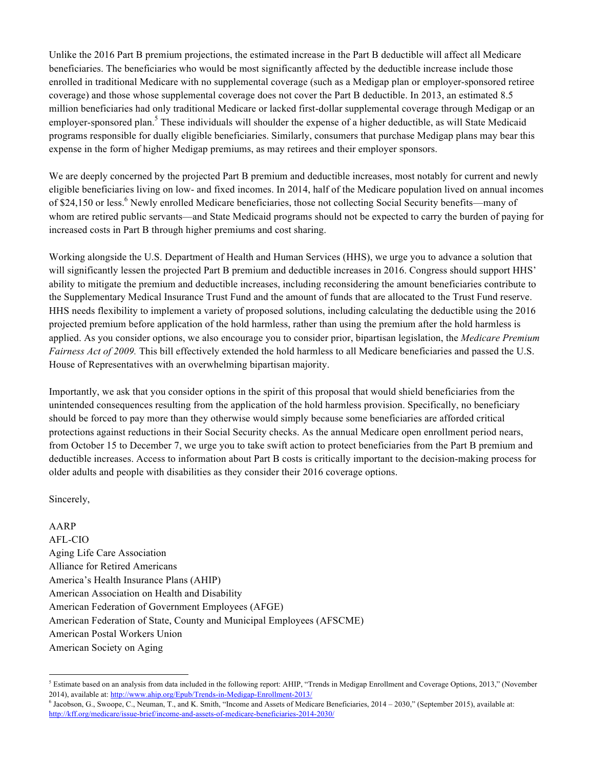Unlike the 2016 Part B premium projections, the estimated increase in the Part B deductible will affect all Medicare beneficiaries. The beneficiaries who would be most significantly affected by the deductible increase include those enrolled in traditional Medicare with no supplemental coverage (such as a Medigap plan or employer-sponsored retiree coverage) and those whose supplemental coverage does not cover the Part B deductible. In 2013, an estimated 8.5 million beneficiaries had only traditional Medicare or lacked first-dollar supplemental coverage through Medigap or an employer-sponsored plan.<sup>5</sup> These individuals will shoulder the expense of a higher deductible, as will State Medicaid programs responsible for dually eligible beneficiaries. Similarly, consumers that purchase Medigap plans may bear this expense in the form of higher Medigap premiums, as may retirees and their employer sponsors.

We are deeply concerned by the projected Part B premium and deductible increases, most notably for current and newly eligible beneficiaries living on low- and fixed incomes. In 2014, half of the Medicare population lived on annual incomes of \$24,150 or less.<sup>6</sup> Newly enrolled Medicare beneficiaries, those not collecting Social Security benefits—many of whom are retired public servants—and State Medicaid programs should not be expected to carry the burden of paying for increased costs in Part B through higher premiums and cost sharing.

Working alongside the U.S. Department of Health and Human Services (HHS), we urge you to advance a solution that will significantly lessen the projected Part B premium and deductible increases in 2016. Congress should support HHS' ability to mitigate the premium and deductible increases, including reconsidering the amount beneficiaries contribute to the Supplementary Medical Insurance Trust Fund and the amount of funds that are allocated to the Trust Fund reserve. HHS needs flexibility to implement a variety of proposed solutions, including calculating the deductible using the 2016 projected premium before application of the hold harmless, rather than using the premium after the hold harmless is applied. As you consider options, we also encourage you to consider prior, bipartisan legislation, the *Medicare Premium Fairness Act of 2009.* This bill effectively extended the hold harmless to all Medicare beneficiaries and passed the U.S. House of Representatives with an overwhelming bipartisan majority.

Importantly, we ask that you consider options in the spirit of this proposal that would shield beneficiaries from the unintended consequences resulting from the application of the hold harmless provision. Specifically, no beneficiary should be forced to pay more than they otherwise would simply because some beneficiaries are afforded critical protections against reductions in their Social Security checks. As the annual Medicare open enrollment period nears, from October 15 to December 7, we urge you to take swift action to protect beneficiaries from the Part B premium and deductible increases. Access to information about Part B costs is critically important to the decision-making process for older adults and people with disabilities as they consider their 2016 coverage options.

Sincerely,

## AARP

AFL-CIO Aging Life Care Association Alliance for Retired Americans America's Health Insurance Plans (AHIP) American Association on Health and Disability American Federation of Government Employees (AFGE) American Federation of State, County and Municipal Employees (AFSCME) American Postal Workers Union American Society on Aging

 $<sup>5</sup>$  Estimate based on an analysis from data included in the following report: AHIP, "Trends in Medigap Enrollment and Coverage Options, 2013," (November</sup> 2014), available at: http://www.ahip.org/Epub/Trends-in-Medigap-Enrollment-2013/

<sup>6</sup> Jacobson, G., Swoope, C., Neuman, T., and K. Smith, "Income and Assets of Medicare Beneficiaries, 2014 – 2030," (September 2015), available at: http://kff.org/medicare/issue-brief/income-and-assets-of-medicare-beneficiaries-2014-2030/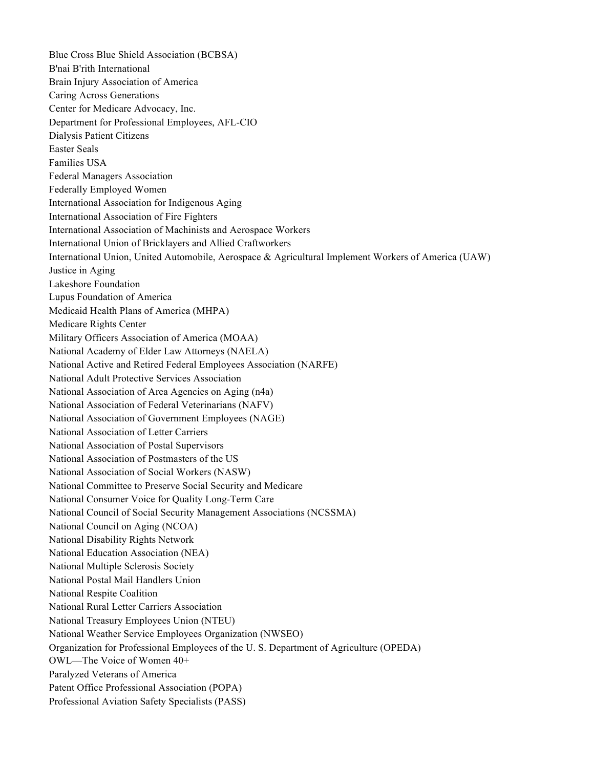Blue Cross Blue Shield Association (BCBSA) B'nai B'rith International Brain Injury Association of America Caring Across Generations Center for Medicare Advocacy, Inc. Department for Professional Employees, AFL-CIO Dialysis Patient Citizens Easter Seals Families USA Federal Managers Association Federally Employed Women International Association for Indigenous Aging International Association of Fire Fighters International Association of Machinists and Aerospace Workers International Union of Bricklayers and Allied Craftworkers International Union, United Automobile, Aerospace & Agricultural Implement Workers of America (UAW) Justice in Aging Lakeshore Foundation Lupus Foundation of America Medicaid Health Plans of America (MHPA) Medicare Rights Center Military Officers Association of America (MOAA) National Academy of Elder Law Attorneys (NAELA) National Active and Retired Federal Employees Association (NARFE) National Adult Protective Services Association National Association of Area Agencies on Aging (n4a) National Association of Federal Veterinarians (NAFV) National Association of Government Employees (NAGE) National Association of Letter Carriers National Association of Postal Supervisors National Association of Postmasters of the US National Association of Social Workers (NASW) National Committee to Preserve Social Security and Medicare National Consumer Voice for Quality Long-Term Care National Council of Social Security Management Associations (NCSSMA) National Council on Aging (NCOA) National Disability Rights Network National Education Association (NEA) National Multiple Sclerosis Society National Postal Mail Handlers Union National Respite Coalition National Rural Letter Carriers Association National Treasury Employees Union (NTEU) National Weather Service Employees Organization (NWSEO) Organization for Professional Employees of the U. S. Department of Agriculture (OPEDA) OWL—The Voice of Women 40+ Paralyzed Veterans of America Patent Office Professional Association (POPA) Professional Aviation Safety Specialists (PASS)